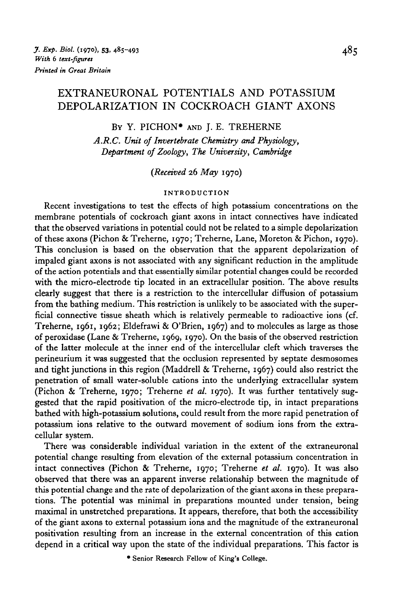# EXTRANEURONAL POTENTIALS AND POTASSIUM DEPOLARIZATION IN COCKROACH GIANT AXONS

### BY Y. PICHON\* AND J. E. TREHERNE

*A.R.C. Unit of Invertebrate Chemistry and Physiology, Department of Zoology, The University, Cambridge*

*{Received* 26 *May* 1970)

#### INTRODUCTION

Recent investigations to test the effects of high potassium concentrations on the membrane potentials of cockroach giant axons in intact connectives have indicated that the observed variations in potential could not be related to a simple depolarization of these axons (Pichon & Treherne, 1970; Treherne, Lane, Moreton & Pichon, 1970). This conclusion is based on the observation that the apparent depolarization of impaled giant axons is not associated with any significant reduction in the amplitude of the action potentials and that essentially similar potential changes could be recorded with the micro-electrode tip located in an extracellular position. The above results clearly suggest that there is a restriction to the intercellular diffusion of potassium from the bathing medium. This restriction is unlikely to be associated with the superficial connective tissue sheath which is relatively permeable to radioactive ions (cf. Treherne, 1961, 1962; Eldefrawi & O'Brien, 1967) and to molecules as large as those of peroxidase (Lane & Treherne, 1969, 1970). On the basis of the observed restriction of the latter molecule at the inner end of the intercellular cleft which traverses the perineurium it was suggested that the occlusion represented by septate desmosomes and tight junctions in this region (Maddrell & Treherne, 1967) could also restrict the penetration of small water-soluble cations into the underlying extracellular system (Pichon & Treherne, 1970; Treherne *et al.* 1970). It was further tentatively suggested that the rapid positivation of the micro-electrode tip, in intact preparations bathed with high-potassium solutions, could result from the more rapid penetration of potassium ions relative to the outward movement of sodium ions from the extracellular system.

There was considerable individual variation in the extent of the extraneuronal potential change resulting from elevation of the external potassium concentration in intact connectives (Pichon & Treherne, 1970; Treherne *et al.* 1970). It was also observed that there was an apparent inverse relationship between the magnitude of this potential change and the rate of depolarization of the giant axons in these preparations. The potential was minimal in preparations mounted under tension, being maximal in unstretched preparations. It appears, therefore, that both the accessibility of the giant axons to external potassium ions and the magnitude of the extraneuronal positivation resulting from an increase in the external concentration of this cation depend in a critical way upon the state of the individual preparations. This factor is

• Senior Research Fellow of King's College.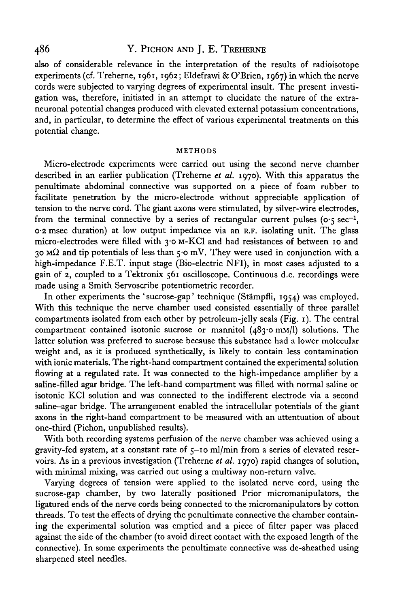## 486 Y. PlCHON AND J. E. TREHERNE

also of considerable relevance in the interpretation of the results of radioisotope experiments (cf. Treherne, 1961, 1962; Eldefrawi & O'Brien, 1967) in which the nerve cords were subjected to varying degrees of experimental insult. The present investigation was, therefore, initiated in an attempt to elucidate the nature of the extraneuronal potential changes produced with elevated external potassium concentrations, and, in particular, to determine the effect of various experimental treatments on this potential change.

#### METHODS

Micro-electrode experiments were carried out using the second nerve chamber described in an earlier publication (Treherne *et al.* 1970). With this apparatus the penultimate abdominal connective was supported on a piece of foam rubber to facilitate penetration by the micro-electrode without appreciable application of tension to the nerve cord. The giant axons were stimulated, by silver-wire electrodes, from the terminal connective by a series of rectangular current pulses ( $o \cdot 5$  sec<sup>-1</sup>, 0-2 msec duration) at low output impedance via an R.F. isolating unit. The glass micro-electrodes were filled with 3.0 M-KCl and had resistances of between 10 and 30 M $\Omega$  and tip potentials of less than 5.0 mV. They were used in conjunction with a high-impedance F.E.T. input stage (Bio-electric NFI), in most cases adjusted to a gain of 2, coupled to a Tektronix 561 oscilloscope. Continuous d.c. recordings were made using a Smith Servoscribe potentiometric recorder.

In other experiments the 'sucrose-gap' technique (Stämpfli, 1954) was employed. With this technique the nerve chamber used consisted essentially of three parallel compartments isolated from each other by petroleum-jelly seals (Fig. 1). The central compartment contained isotonic sucrose or mannitol  $(483°$  mm/l) solutions. The latter solution was preferred to sucrose because this substance had a lower molecular weight and, as it is produced synthetically, is likely to contain less contamination with ionic materials. The right-hand compartment contained the experimental solution flowing at a regulated rate. It was connected to the high-impedance amplifier by a saline-filled agar bridge. The left-hand compartment was filled with normal saline or isotonic KC1 solution and was connected to the indifferent electrode via a second saline-agar bridge. The arrangement enabled the intracellular potentials of the giant axons in the right-hand compartment to be measured with an attentuation of about one-third (Pichon, unpublished results).

With both recording systems perfusion of the nerve chamber was achieved using a gravity-fed system, at a constant rate of 5-10 ml/min from a series of elevated reservoirs. As in a previous investigation (Treherne *et al.* 1970) rapid changes of solution, with minimal mixing, was carried out using a multiway non-return valve.

Varying degrees of tension were applied to the isolated nerve cord, using the sucrose-gap chamber, by two laterally positioned Prior micromanipulators, the ligatured ends of the nerve cords being connected to the micromanipulators by cotton threads. To test the effects of drying the penultimate connective the chamber containing the experimental solution was emptied and a piece of filter paper was placed against the side of the chamber (to avoid direct contact with the exposed length of the connective). In some experiments the penultimate connective was de-sheathed using sharpened steel needles.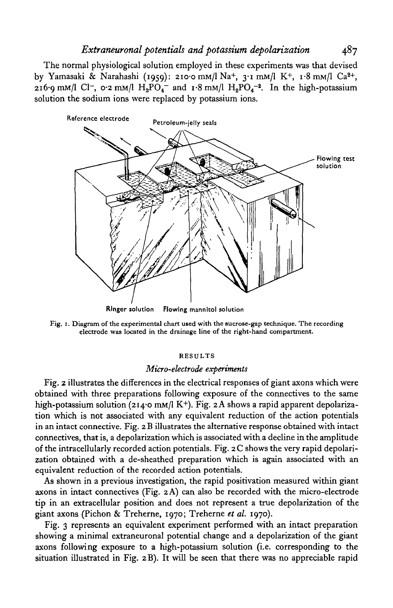# *Extraneuronal potentials and potassium depolarization* 487

The normal physiological solution employed in these experiments was that devised by Yamasaki & Narahashi (1959): 210<sup>.</sup>0 mm/l Na<sup>+</sup>, 3<sup>.</sup>1 mm/l K<sup>+</sup>, 1.8 mm/l Ca<sup>2+</sup>, 216.9 mM/l Cl<sup>-</sup>, 0.2 mM/l  $H_2PO_4^-$  and 1.8 mM/l  $H_2PO_4^{-2}$ . In the high-potassium solution the sodium ions were replaced by potassium ions.



Fig. 1. Diagram of the experimental chart used with the sucrose-gap technique. The recording electrode was located in the drainage line of the right-hand compartment.

#### RESULTS

#### *Micro-electrode experiments*

Fig. 2 illustrates the differences in the electrical responses of giant axons which were obtained with three preparations following exposure of the connectives to the same high-potassium solution (214.0 mm/l K<sup>+</sup>). Fig. 2A shows a rapid apparent depolarization which is not associated with any equivalent reduction of the action potentials in an intact connective. Fig. 2 B illustrates the alternative response obtained with intact connectives, that is, a depolarization which is associated with a decline in the amplitude of the intracellularly recorded action potentials. Fig. 2 C shows the very rapid depolarization obtained with a de-sheathed preparation which is again associated with an equivalent reduction of the recorded action potentials.

As shown in a previous investigation, the rapid positivation measured within giant axons in intact connectives (Fig. 2 A) can also be recorded with the micro-electrode tip in an extracellular position and does not represent a true depolarization of the giant axons (Pichon & Treherne, 1970; Treherne *et al.* 1970).

Fig. 3 represents an equivalent experiment performed with an intact preparation showing a minimal extraneuronal potential change and a depolarization of the giant axons following exposure to a high-potassium solution (i.e. corresponding to the situation illustrated in Fig. 2B). It will be seen that there was no appreciable rapid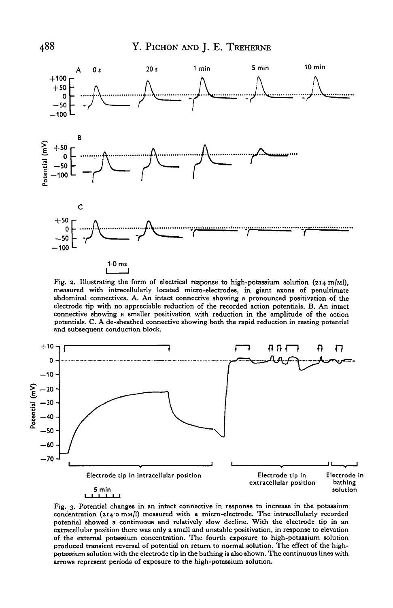

Fig. 2. Illustrating the form of electrical response to high-potassium solution  $(214 \text{ m/M})$ , measured with intracellularly located micro-electrodes, in giant axons of penultimate abdominal connectives. A. An intact conne connective showing a smaller positivation with reduction in the amplitude of the action potentials. C. A de-sheathed connective showing both the rapid reduction in resting potential and subsequent conduction block.



Fig. 3. Potential changes in an intact connective in response to increase in the potassium concentration (214.0 mM/l) measured with a micro-electrode. The intracellularly recorded potential showed a continuous and relative extracellular position there was only a small and unstable positivation, in response to elevation<br>of the external potassium concentration. The fourth exposure to high-potassium solution<br>produced transient reversal of poten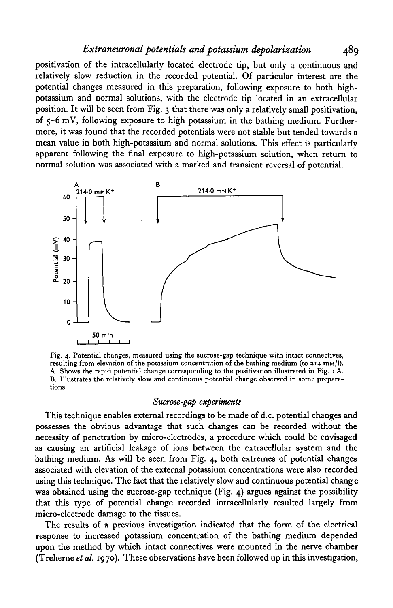### *Extraneuronal potentials and potassium depolarization* 489

positivation of the intracellularly located electrode tip, but only a continuous and relatively slow reduction in the recorded potential. Of particular interest are the potential changes measured in this preparation, following exposure to both highpotassium and normal solutions, with the electrode tip located in an extracellular position. It will be seen from Fig. 3 that there was only a relatively small positivation, of 5-6 mV, following exposure to high potassium in the bathing medium. Furthermore, it was found that the recorded potentials were not stable but tended towards a mean value in both high-potassium and normal solutions. This effect is particularly apparent following the final exposure to high-potassium solution, when return to normal solution was associated with a marked and transient reversal of potential.



Fig. 4. Potential changes, measured using the sucrose-gap technique with intact connectives, resulting from elevation of the potassium concentration of the bathing medium (to 214 mM/1). A. Shows the rapid potential change corresponding to the positivation illustrated in Fig. 1 A. B. Illustrates the relatively slow and continuous potential change observed in some preparations.

#### *Sucrose-gap experiments*

This technique enables external recordings to be made of d.c. potential changes and possesses the obvious advantage that such changes can be recorded without the necessity of penetration by micro-electrodes, a procedure which could be envisaged as causing an artificial leakage of ions between the extracellular system and the bathing medium. As will be seen from Fig. 4, both extremes of potential changes associated with elevation of the external potassium concentrations were also recorded using this technique. The fact that the relatively slow and continuous potential chang e was obtained using the sucrose-gap technique (Fig.  $4$ ) argues against the possibility that this type of potential change recorded intracellularly resulted largely from micro-electrode damage to the tissues.

The results of a previous investigation indicated that the form of the electrical response to increased potassium concentration of the bathing medium depended upon the method by which intact connectives were mounted in the nerve chamber (Treherne *et al.* 1970). These observations have been followed up in this investigation,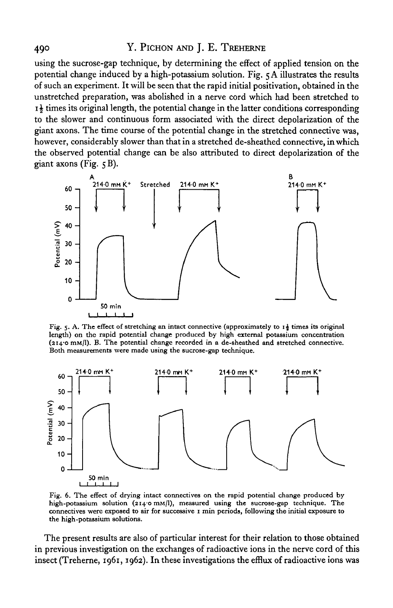# 490 Y. PICHON AND J. E. TREHERNE

using the sucrose-gap technique, by determining the effect of applied tension on the potential change induced by a high-potassium solution. Fig. 5 A illustrates the results of such an experiment. It will be seen that the rapid initial positivation, obtained in the unstretched preparation, was abolished in a nerve cord which had been stretched to  $i\frac{1}{2}$  times its original length, the potential change in the latter conditions corresponding to the slower and continuous form associated with the direct depolarization of the giant axons. The time course of the potential change in the stretched connective was, however, considerably slower than that in a stretched de-sheathed connective, in which the observed potential change can be also attributed to direct depolarization of the giant axons (Fig.  $5B$ ).



Fig. 5. A. The effect of stretching an intact connective (approximately to  $i_{\frac{1}{2}}$  times its original length) on the rapid potential change produced by high external potassium concentration (214.0 mm/l). B. The potential change recorded in a de-sheathed and stretched connective. Both measurements were made using the sucrose-gap technique.



Fig. 6. The effect of drying intact connectives on the rapid potential change produced by high-potassium solution ( $2140$  mm/I), measured using the sucrose-gap technique. The connectives were exposed to air for successive 1 min periods, following the initial exposure to the high-potassium solutions.

The present results are also of particular interest for their relation to those obtained in previous investigation on the exchanges of radioactive ions in the nerve cord of this insect (Treherne, 1961, 1962). In these investigations the efflux of radioactive ions was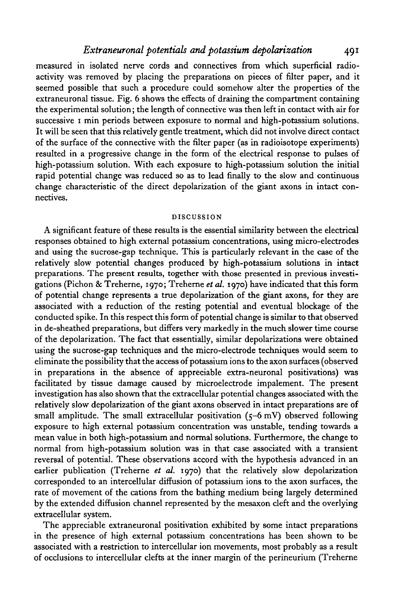measured in isolated nerve cords and connectives from which superficial radioactivity was removed by placing the preparations on pieces of filter paper, and it seemed possible that such a procedure could somehow alter the properties of the extraneuronal tissue. Fig. 6 shows the effects of draining the compartment containing the experimental solution; the length of connective was then left in contact with air for successive 1 min periods between exposure to normal and high-potassium solutions. It will be seen that this relatively gentle treatment, which did not involve direct contact of the surface of the connective with the filter paper (as in radioisotope experiments) resulted in a progressive change in the form of the electrical response to pulses of high-potassium solution. With each exposure to high-potassium solution the initial rapid potential change was reduced so as to lead finally to the slow and continuous change characteristic of the direct depolarization of the giant axons in intact connectives.

#### DISCUSSION

A significant feature of these results is the essential similarity between the electrical responses obtained to high external potassium concentrations, using micro-electrodes and using the sucrose-gap technique. This is particularly relevant in the case of the relatively slow potential changes produced by high-potassium solutions in intact preparations. The present results, together with those presented in previous investigations (Pichon & Treherne, 1970; Treherne *et at.* 1970) have indicated that this form of potential change represents a true depolarization of the giant axons, for they are associated with a reduction of the resting potential and eventual blockage of the conducted spike. In this respect this form of potential change is similar to that observed in de-sheathed preparations, but differs very markedly in the much slower time course of the depolarization. The fact that essentially, similar depolarizations were obtained using the sucrose-gap techniques and the micro-electrode techniques would seem to eliminate the possibility that the access of potassium ions to the axon surfaces (observed in preparations in the absence of appreciable extra-neuronal positivations) was facilitated by tissue damage caused by microelectrode impalement. The present investigation has also shown that the extracellular potential changes associated with the relatively slow depolarization of the giant axons observed in intact preparations are of small amplitude. The small extracellular positivation  $(5-6 \text{ mV})$  observed following exposure to high external potassium concentration was unstable, tending towards a mean value in both high-potassium and normal solutions. Furthermore, the change to normal from high-potassium solution was in that case associated with a transient reversal of potential. These observations accord with the hypothesis advanced in an earlier publication (Treherne *et al.* 1970) that the relatively slow depolarization corresponded to an intercellular diffusion of potassium ions to the axon surfaces, the rate of movement of the cations from the bathing medium being largely determined by the extended diffusion channel represented by the mesaxon cleft and the overlying extracellular system.

The appreciable extraneuronal positivation exhibited by some intact preparations in the presence of high external potassium concentrations has been shown to be associated with a restriction to intercellular ion movements, most probably as a result of occlusions to intercellular clefts at the inner margin of the perineurium (Treherne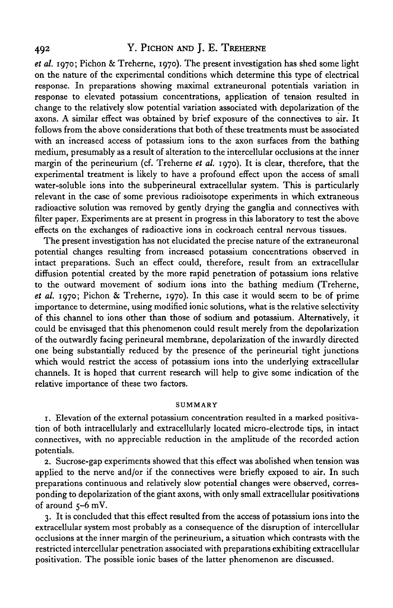# 492 Y. PICHON AND J. E. TREHERNE

*et al.* 1970; Pichon & Treherne, 1970). The present investigation has shed some light on the nature of the experimental conditions which determine this type of electrical response. In preparations showing maximal extraneuronal potentials variation in response to elevated potassium concentrations, application of tension resulted in change to the relatively slow potential variation associated with depolarization of the axons. A similar effect was obtained by brief exposure of the connectives to air. It follows from the above considerations that both of these treatments must be associated with an increased access of potassium ions to the axon surfaces from the bathing medium, presumably as a result of alteration to the intercellular occlusions at the inner margin of the perineurium (cf. Treherne *et al.* 1970). It is clear, therefore, that the experimental treatment is likely to have a profound effect upon the access of small water-soluble ions into the subperineural extracellular system. This is particularly relevant in the case of some previous radioisotope experiments in which extraneous radioactive solution was removed by gently drying the ganglia and connectives with filter paper. Experiments are at present in progress in this laboratory to test the above effects on the exchanges of radioactive ions in cockroach central nervous tissues.

The present investigation has not elucidated the precise nature of the extraneuronal potential changes resulting from increased potassium concentrations observed in intact preparations. Such an effect could, therefore, result from an extracellular diffusion potential created by the more rapid penetration of potassium ions relative to the outward movement of sodium ions into the bathing medium (Treherne, *et al.* 1970; Pichon & Treherne, 1970). In this case it would seem to be of prime importance to determine, using modified ionic solutions, what is the relative selectivity of this channel to ions other than those of sodium and potassium. Alternatively, it could be envisaged that this phenomenon could result merely from the depolarization of the outwardly facing perineural membrane, depolarization of the inwardly directed one being substantially reduced by the presence of the perineurial tight junctions which would restrict the access of potassium ions into the underlying extracellular channels. It is hoped that current research will help to give some indication of the relative importance of these two factors.

#### SUMMARY

1. Elevation of the external potassium concentration resulted in a marked positivation of both intracellularly and extracellularly located micro-electrode tips, in intact connectives, with no appreciable reduction in the amplitude of the recorded action potentials.

2. Sucrose-gap experiments showed that this effect was abolished when tension was applied to the nerve and/or if the connectives were briefly exposed to air. In such preparations continuous and relatively slow potential changes were observed, corresponding to depolarization of the giant axons, with only small extracellular positivations of around 5-6 mV.

3. It is concluded that this effect resulted from the access of potassium ions into the extracellular system most probably as a consequence of the disruption of intercellular occlusions at the inner margin of the perineurium, a situation which contrasts with the restricted intercellular penetration associated with preparations exhibiting extracellular positivation. The possible ionic bases of the latter phenomenon are discussed.